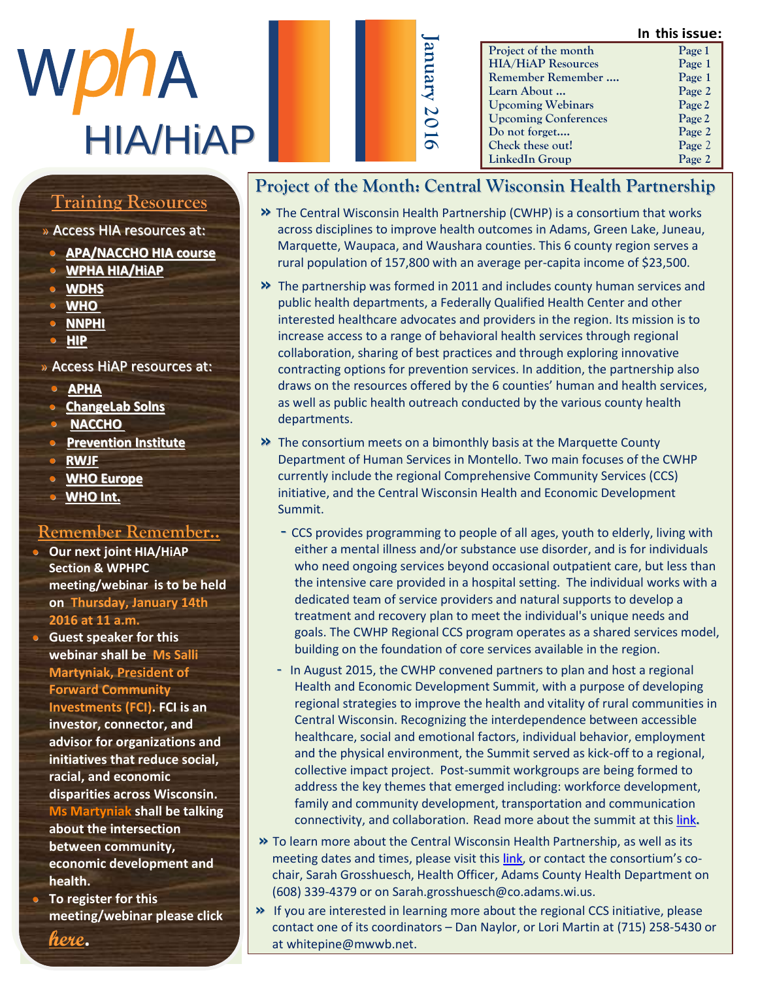# WphA HIA/HiAP

|                             | In this issue: |
|-----------------------------|----------------|
| Project of the month        | Page 1         |
| <b>HIA/HiAP Resources</b>   | Page 1         |
| Remember Remember           | Page 1         |
| Learn About                 | Page 2         |
| <b>Upcoming Webinars</b>    | Page 2         |
| <b>Upcoming Conferences</b> | Page 2         |
| Do not forget               | Page 2         |
| Check these out!            | Page 2         |
| LinkedIn Group              | Page 2         |

# Member Highlight <u>Training Resources</u>

#### » Access HIA resources at:

- **[APA/NACCHO](http://advance.captus.com/planning/hia2/home.aspx) HIA course**
- $\overline{M}$  M  $\overline{D}$  and  $\overline{D}$  and  $\overline{D}$  and  $\overline{D}$  are  $\overline{D}$  and  $\overline{D}$  are  $\overline{D}$  and  $\overline{D}$  are  $\overline{D}$  and  $\overline{D}$  are  $\overline{D}$  and  $\overline{D}$  are  $\overline{D}$  and  $\overline{D}$  are  $\overline{D}$  and  $\overline{D}$  are  $\$ b e e n a n e s s e n t i a l **• WPHA HIA/HiAP**
	- $\frac{m}{m}$ **[WDHS](https://www.dhs.wisconsin.gov/hia/webcasts.htm)**
	- **•** <u>[WHO](http://www.who.int/hia/tools/en/)</u><br>• **WHO**
	- **•** <u>[NNPHI](https://nnphi.org/relatedarticle/nnphis-member-institutes-as-national-health-impact-assessment-hia-training-and-capacity-building-centers/)</u><br>……
	- c o [m m u](http://www.humanimpact.org/new-to-hia/tools-a-resources/) n i c a t i o n s o f f i c e r **• HIP**

#### » Access HiAP resources at:  $\overline{\phantom{a}}$  and  $\overline{\phantom{a}}$

- **•** <u>**[APHA](http://apha.org/topics-and-issues/healthy-communities/health-in-all-policies)**<br> **• APHA**</u>
- **•** ChangeLab Solns
- u p d a t e s o n t h e H I A **• [NACCHO](http://www.naccho.org/advocacy/positions/upload/12-01-health-in-all-policies.pdf)**
- **•** Prevention Institute
- **RWJF**
- **o WHO Europe**
- **•** WHO Int. t h [e U S t h r o](http://www.who.int/life-course/news/health-in-all-policies/en/) u g h

#### <u>Remember Remember..</u> <u>CHICHICH IN</u>

**o** Our next joint HIA/HiAP<br>Castian 8 WPUPS  $\frac{1}{2}$  section & w  $\frac{1}{2}$  where meeting/webinar is to be held **on Thursday, January 14th 2016 at 11 a.m. Section & WPHPC** 

**Guest speaker for this** webinar shall be Ms Salli **Martyniak, President of Forward Community** Investments (FCI). FCI is an investor, connector, and advisor for organizations and initiatives that reduce social, m a seconomic racial, and economic r e stat, and securently **Ms Martyniak shall be talking has marrying sign be take** about the intersection about the intersection<br>between community, between community, e conomic development and c a r e r e r e r e a v o r s . G o o d e a v o r s . G o o d e a v o d e a v o d e a v o d e a v o d e a v o **health.** 

**• To register for this** meeting/webinar please click

**[here](http://www.wpha.org/events/event_details.asp?id=691800&group=).**

### **Project of the Month: Central Wisconsin Health Partnership**

**January**

- **»** The Central Wisconsin Health Partnership (CWHP) is a consortium that works across disciplines to improve health outcomes in Adams, Green Lake, Juneau, Marquette, Waupaca, and Waushara counties. This 6 county region serves a rural population of 157,800 with an average per-capita income of \$23,500.
- **»** The partnership was formed in 2011 and includes county human services and public health departments, a Federally Qualified Health Center and other interested healthcare advocates and providers in the region. Its mission is to increase access to a range of behavioral health services through regional collaboration, sharing of best practices and through exploring innovative contracting options for prevention services. In addition, the partnership also draws on the resources offered by the 6 counties' human and health services, as well as public health outreach conducted by the various county health departments.
- **»** The consortium meets on a bimonthly basis at the Marquette County Department of Human Services in Montello. Two main focuses of the CWHP currently include the regional Comprehensive Community Services (CCS) initiative, and the Central Wisconsin Health and Economic Development Summit.
	- CCS provides programming to people of all ages, youth to elderly, living with either a mental illness and/or substance use disorder, and is for individuals who need ongoing services beyond occasional outpatient care, but less than the intensive care provided in a hospital setting. The individual works with a dedicated team of service providers and natural supports to develop a treatment and recovery plan to meet the individual's unique needs and goals. The CWHP Regional CCS program operates as a shared services model, building on the foundation of core services available in the region.
	- In August 2015, the CWHP convened partners to plan and host a regional Health and Economic Development Summit, with a purpose of developing regional strategies to improve the health and vitality of rural communities in Central Wisconsin. Recognizing the interdependence between accessible healthcare, social and emotional factors, individual behavior, employment and the physical environment, the Summit served as kick-off to a regional, collective impact project. Post-summit workgroups are being formed to address the key themes that emerged including: workforce development, family and community development, transportation and communication connectivity, and collaboration. Read more about the summit at thi[s link](http://www.cwhpartnership.org/uploads/2/1/4/8/21489738/cwhealth_and_ed_summit_report.pdf)**.**
- **»** To learn more about the Central Wisconsin Health Partnership, as well as its meeting dates and times, please visit this [link,](http://www.cwhpartnership.org/) or contact the consortium's cochair, Sarah Grosshuesch, Health Officer, Adams County Health Department on (608) 339-4379 or on Sarah.grosshuesch@co.adams.wi.us.
- **»** If you are interested in learning more about the regional CCS initiative, please contact one of its coordinators – Dan Naylor, or Lori Martin at (715) 258-5430 or at whitepine@mwwb.net.